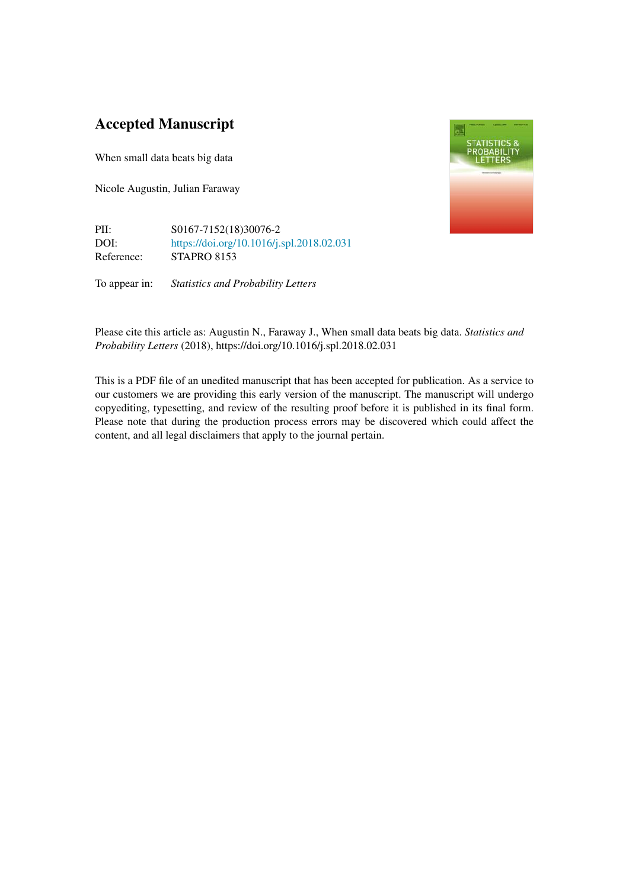# Accepted Manuscript

When small data beats big data

Nicole Augustin, Julian Faraway

PII: S0167-7152(18)30076-2 DOI: <https://doi.org/10.1016/j.spl.2018.02.031> Reference: STAPRO 8153

To appear in: *Statistics and Probability Letters*



Please cite this article as: Augustin N., Faraway J., When small data beats big data. *Statistics and Probability Letters* (2018), https://doi.org/10.1016/j.spl.2018.02.031

This is a PDF file of an unedited manuscript that has been accepted for publication. As a service to our customers we are providing this early version of the manuscript. The manuscript will undergo copyediting, typesetting, and review of the resulting proof before it is published in its final form. Please note that during the production process errors may be discovered which could affect the content, and all legal disclaimers that apply to the journal pertain.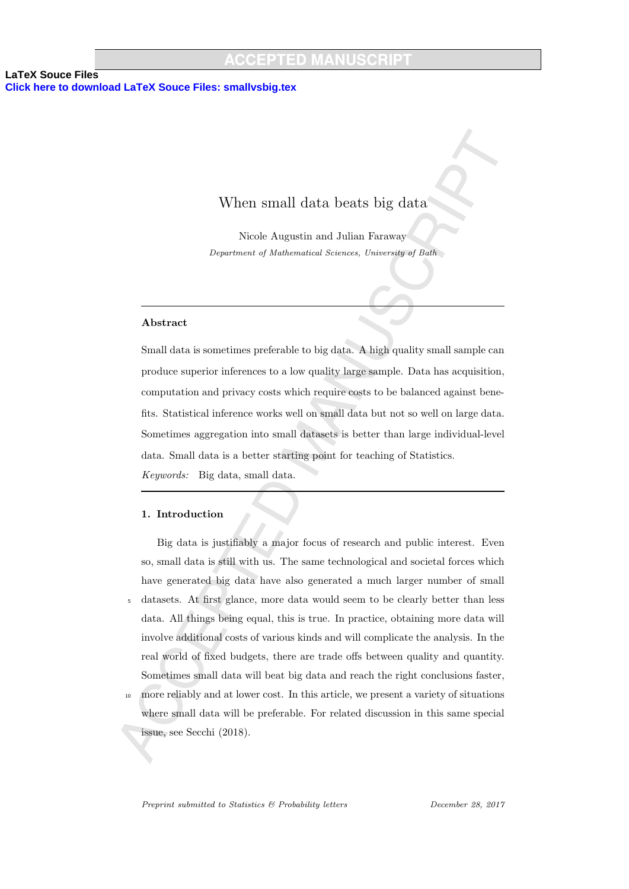# When small data beats big data

Nicole Augustin and Julian Faraway Department of Mathematical Sciences, University of Bath

### Abstract

Small data is sometimes preferable to big data. A high quality small sample can produce superior inferences to a low quality large sample. Data has acquisition, computation and privacy costs which require costs to be balanced against benefits. Statistical inference works well on small data but not so well on large data. Sometimes aggregation into small datasets is better than large individual-level data. Small data is a better starting point for teaching of Statistics. Keywords: Big data, small data.

### 1. Introduction

Big data is justifiably a major focus of research and public interest. Even so, small data is still with us. The same technological and societal forces which have generated big data have also generated a much larger number of small <sup>5</sup> datasets. At first glance, more data would seem to be clearly better than less data. All things being equal, this is true. In practice, obtaining more data will involve additional costs of various kinds and will complicate the analysis. In the real world of fixed budgets, there are trade offs between quality and quantity. Sometimes small data will beat big data and reach the right conclusions faster, <sup>10</sup> more reliably and at lower cost. In this article, we present a variety of situations

where small data will be preferable. For related discussion in this same special issue, see Secchi (2018).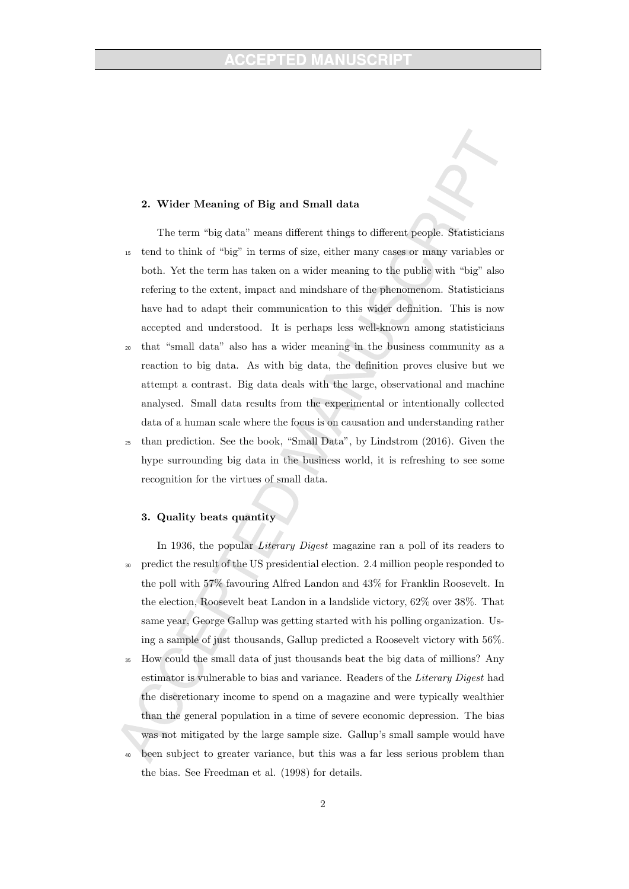# 2. Wider Meaning of Big and Small data

The term "big data" means different things to different people. Statisticians <sup>15</sup> tend to think of "big" in terms of size, either many cases or many variables or both. Yet the term has taken on a wider meaning to the public with "big" also refering to the extent, impact and mindshare of the phenomenom. Statisticians have had to adapt their communication to this wider definition. This is now accepted and understood. It is perhaps less well-known among statisticians <sup>20</sup> that "small data" also has a wider meaning in the business community as a reaction to big data. As with big data, the definition proves elusive but we

- attempt a contrast. Big data deals with the large, observational and machine analysed. Small data results from the experimental or intentionally collected data of a human scale where the focus is on causation and understanding rather <sup>25</sup> than prediction. See the book, "Small Data", by Lindstrom (2016). Given the
- hype surrounding big data in the business world, it is refreshing to see some recognition for the virtues of small data.

# 3. Quality beats quantity

- In 1936, the popular *Literary Digest* magazine ran a poll of its readers to <sup>30</sup> predict the result of the US presidential election. 2.4 million people responded to the poll with 57% favouring Alfred Landon and 43% for Franklin Roosevelt. In the election, Roosevelt beat Landon in a landslide victory, 62% over 38%. That same year, George Gallup was getting started with his polling organization. Using a sample of just thousands, Gallup predicted a Roosevelt victory with 56%.
- <sup>35</sup> How could the small data of just thousands beat the big data of millions? Any estimator is vulnerable to bias and variance. Readers of the Literary Digest had the discretionary income to spend on a magazine and were typically wealthier than the general population in a time of severe economic depression. The bias was not mitigated by the large sample size. Gallup's small sample would have
- been subject to greater variance, but this was a far less serious problem than the bias. See Freedman et al. (1998) for details.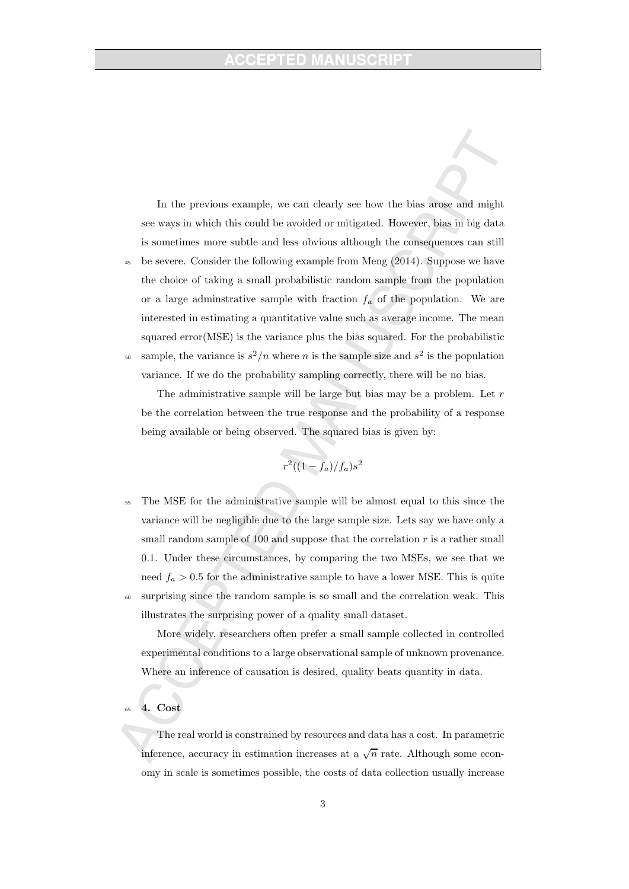In the previous example, we can clearly see how the bias arose and might see ways in which this could be avoided or mitigated. However, bias in big data is sometimes more subtle and less obvious although the consequences can still <sup>45</sup> be severe. Consider the following example from Meng (2014). Suppose we have the choice of taking a small probabilistic random sample from the population or a large administrative sample with fraction  $f_a$  of the population. We are interested in estimating a quantitative value such as average income. The mean squared error(MSE) is the variance plus the bias squared. For the probabilistic so sample, the variance is  $s^2/n$  where n is the sample size and  $s^2$  is the population

variance. If we do the probability sampling correctly, there will be no bias.

The administrative sample will be large but bias may be a problem. Let  $r$ be the correlation between the true response and the probability of a response being available or being observed. The squared bias is given by:

$$
r^2((1-f_a)/f_a)s^2
$$

<sup>55</sup> The MSE for the administrative sample will be almost equal to this since the variance will be negligible due to the large sample size. Lets say we have only a small random sample of 100 and suppose that the correlation  $r$  is a rather small 0.1. Under these circumstances, by comparing the two MSEs, we see that we need  $f_a > 0.5$  for the administrative sample to have a lower MSE. This is quite <sup>60</sup> surprising since the random sample is so small and the correlation weak. This illustrates the surprising power of a quality small dataset.

More widely, researchers often prefer a small sample collected in controlled experimental conditions to a large observational sample of unknown provenance. Where an inference of causation is desired, quality beats quantity in data.

### 4. Cost

The real world is constrained by resources and data has a cost. In parametric inference, accuracy in estimation increases at a  $\sqrt{n}$  rate. Although some economy in scale is sometimes possible, the costs of data collection usually increase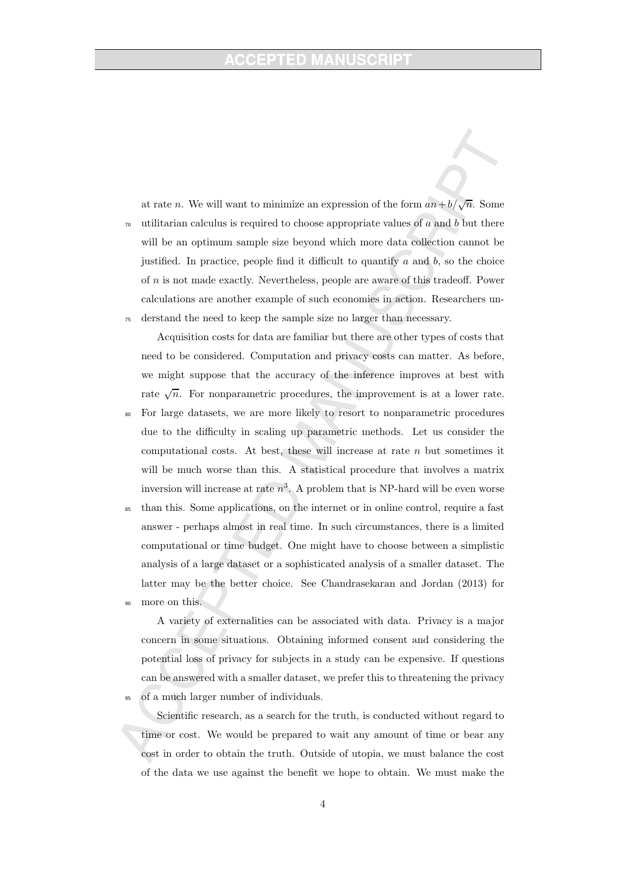at rate *n*. We will want to minimize an expression of the form  $an+b/\sqrt{n}$ . Some  $\tau_0$  utilitarian calculus is required to choose appropriate values of a and b but there will be an optimum sample size beyond which more data collection cannot be justified. In practice, people find it difficult to quantify  $a$  and  $b$ , so the choice of n is not made exactly. Nevertheless, people are aware of this tradeoff. Power calculations are another example of such economies in action. Researchers un-<sup>75</sup> derstand the need to keep the sample size no larger than necessary.

Acquisition costs for data are familiar but there are other types of costs that need to be considered. Computation and privacy costs can matter. As before, we might suppose that the accuracy of the inference improves at best with rate  $\sqrt{n}$ . For nonparametric procedures, the improvement is at a lower rate.

- <sup>80</sup> For large datasets, we are more likely to resort to nonparametric procedures due to the difficulty in scaling up parametric methods. Let us consider the computational costs. At best, these will increase at rate  $n$  but sometimes it will be much worse than this. A statistical procedure that involves a matrix inversion will increase at rate  $n^3$ . A problem that is NP-hard will be even worse
- than this. Some applications, on the internet or in online control, require a fast answer - perhaps almost in real time. In such circumstances, there is a limited computational or time budget. One might have to choose between a simplistic analysis of a large dataset or a sophisticated analysis of a smaller dataset. The latter may be the better choice. See Chandrasekaran and Jordan (2013) for more on this.

A variety of externalities can be associated with data. Privacy is a major concern in some situations. Obtaining informed consent and considering the potential loss of privacy for subjects in a study can be expensive. If questions can be answered with a smaller dataset, we prefer this to threatening the privacy of a much larger number of individuals.

Scientific research, as a search for the truth, is conducted without regard to time or cost. We would be prepared to wait any amount of time or bear any cost in order to obtain the truth. Outside of utopia, we must balance the cost of the data we use against the benefit we hope to obtain. We must make the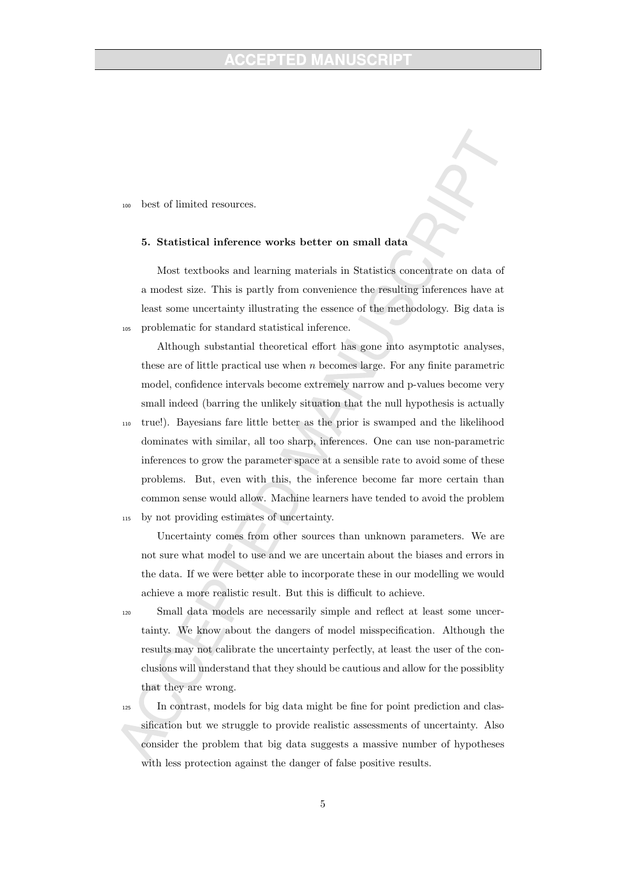<sup>100</sup> best of limited resources.

#### 5. Statistical inference works better on small data

Most textbooks and learning materials in Statistics concentrate on data of a modest size. This is partly from convenience the resulting inferences have at least some uncertainty illustrating the essence of the methodology. Big data is <sup>105</sup> problematic for standard statistical inference.

Although substantial theoretical effort has gone into asymptotic analyses, these are of little practical use when  $n$  becomes large. For any finite parametric model, confidence intervals become extremely narrow and p-values become very small indeed (barring the unlikely situation that the null hypothesis is actually

<sup>110</sup> true!). Bayesians fare little better as the prior is swamped and the likelihood dominates with similar, all too sharp, inferences. One can use non-parametric inferences to grow the parameter space at a sensible rate to avoid some of these problems. But, even with this, the inference become far more certain than common sense would allow. Machine learners have tended to avoid the problem

<sup>115</sup> by not providing estimates of uncertainty.

Uncertainty comes from other sources than unknown parameters. We are not sure what model to use and we are uncertain about the biases and errors in the data. If we were better able to incorporate these in our modelling we would achieve a more realistic result. But this is difficult to achieve.

<sup>120</sup> Small data models are necessarily simple and reflect at least some uncertainty. We know about the dangers of model misspecification. Although the results may not calibrate the uncertainty perfectly, at least the user of the conclusions will understand that they should be cautious and allow for the possiblity that they are wrong.

<sup>125</sup> In contrast, models for big data might be fine for point prediction and classification but we struggle to provide realistic assessments of uncertainty. Also consider the problem that big data suggests a massive number of hypotheses with less protection against the danger of false positive results.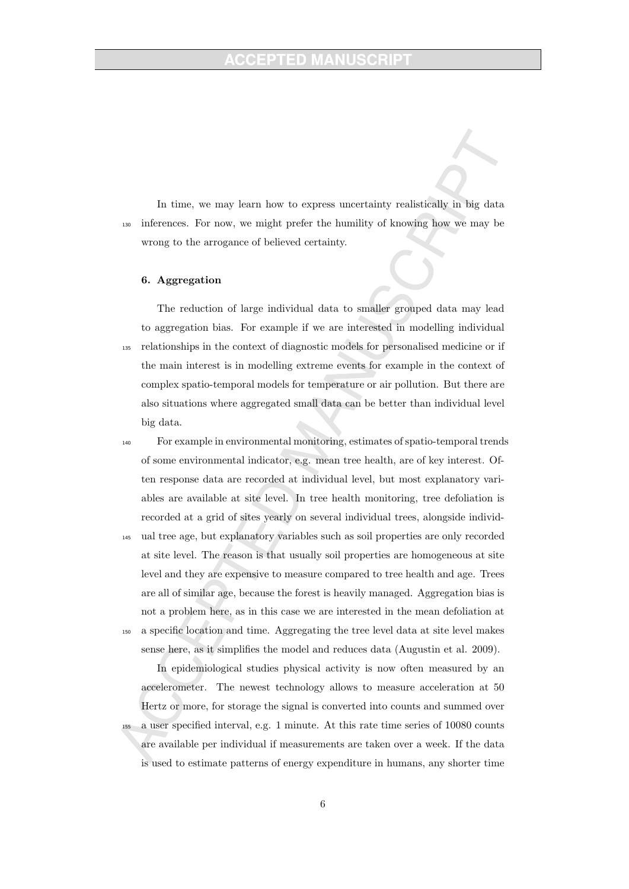In time, we may learn how to express uncertainty realistically in big data <sup>130</sup> inferences. For now, we might prefer the humility of knowing how we may be wrong to the arrogance of believed certainty.

# 6. Aggregation

The reduction of large individual data to smaller grouped data may lead to aggregation bias. For example if we are interested in modelling individual <sup>135</sup> relationships in the context of diagnostic models for personalised medicine or if the main interest is in modelling extreme events for example in the context of complex spatio-temporal models for temperature or air pollution. But there are also situations where aggregated small data can be better than individual level big data.

- <sup>140</sup> For example in environmental monitoring, estimates of spatio-temporal trends of some environmental indicator, e.g. mean tree health, are of key interest. Often response data are recorded at individual level, but most explanatory variables are available at site level. In tree health monitoring, tree defoliation is recorded at a grid of sites yearly on several individual trees, alongside individ-
- <sup>145</sup> ual tree age, but explanatory variables such as soil properties are only recorded at site level. The reason is that usually soil properties are homogeneous at site level and they are expensive to measure compared to tree health and age. Trees are all of similar age, because the forest is heavily managed. Aggregation bias is not a problem here, as in this case we are interested in the mean defoliation at
- <sup>150</sup> a specific location and time. Aggregating the tree level data at site level makes sense here, as it simplifies the model and reduces data (Augustin et al. 2009).

In epidemiological studies physical activity is now often measured by an accelerometer. The newest technology allows to measure acceleration at 50 Hertz or more, for storage the signal is converted into counts and summed over <sup>155</sup> a user specified interval, e.g. 1 minute. At this rate time series of 10080 counts are available per individual if measurements are taken over a week. If the data is used to estimate patterns of energy expenditure in humans, any shorter time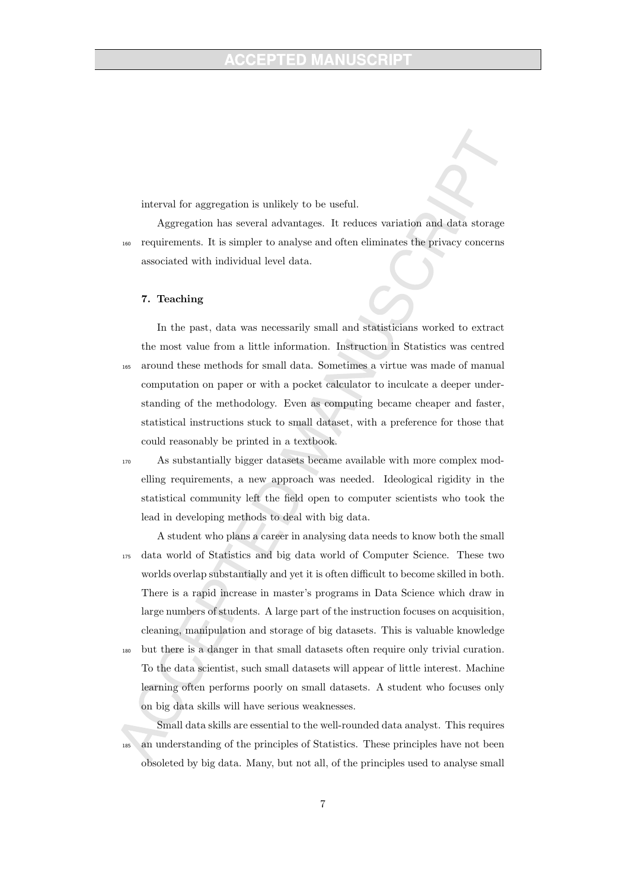interval for aggregation is unlikely to be useful.

Aggregation has several advantages. It reduces variation and data storage <sup>160</sup> requirements. It is simpler to analyse and often eliminates the privacy concerns associated with individual level data.

#### 7. Teaching

In the past, data was necessarily small and statisticians worked to extract the most value from a little information. Instruction in Statistics was centred <sup>165</sup> around these methods for small data. Sometimes a virtue was made of manual computation on paper or with a pocket calculator to inculcate a deeper understanding of the methodology. Even as computing became cheaper and faster, statistical instructions stuck to small dataset, with a preference for those that could reasonably be printed in a textbook.

<sup>170</sup> As substantially bigger datasets became available with more complex modelling requirements, a new approach was needed. Ideological rigidity in the statistical community left the field open to computer scientists who took the lead in developing methods to deal with big data.

A student who plans a career in analysing data needs to know both the small <sup>175</sup> data world of Statistics and big data world of Computer Science. These two worlds overlap substantially and yet it is often difficult to become skilled in both. There is a rapid increase in master's programs in Data Science which draw in large numbers of students. A large part of the instruction focuses on acquisition, cleaning, manipulation and storage of big datasets. This is valuable knowledge

<sup>180</sup> but there is a danger in that small datasets often require only trivial curation. To the data scientist, such small datasets will appear of little interest. Machine learning often performs poorly on small datasets. A student who focuses only on big data skills will have serious weaknesses.

Small data skills are essential to the well-rounded data analyst. This requires <sup>185</sup> an understanding of the principles of Statistics. These principles have not been obsoleted by big data. Many, but not all, of the principles used to analyse small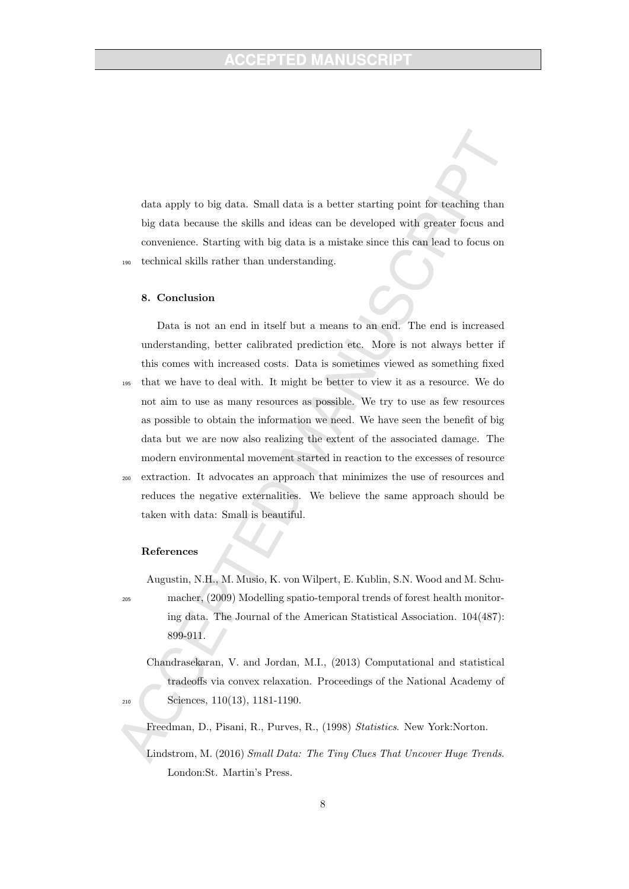data apply to big data. Small data is a better starting point for teaching than big data because the skills and ideas can be developed with greater focus and convenience. Starting with big data is a mistake since this can lead to focus on <sup>190</sup> technical skills rather than understanding.

#### 8. Conclusion

Data is not an end in itself but a means to an end. The end is increased understanding, better calibrated prediction etc. More is not always better if this comes with increased costs. Data is sometimes viewed as something fixed <sup>195</sup> that we have to deal with. It might be better to view it as a resource. We do not aim to use as many resources as possible. We try to use as few resources as possible to obtain the information we need. We have seen the benefit of big data but we are now also realizing the extent of the associated damage. The modern environmental movement started in reaction to the excesses of resource <sup>200</sup> extraction. It advocates an approach that minimizes the use of resources and reduces the negative externalities. We believe the same approach should be taken with data: Small is beautiful.

### References

Augustin, N.H., M. Musio, K. von Wilpert, E. Kublin, S.N. Wood and M. Schu-<sup>205</sup> macher, (2009) Modelling spatio-temporal trends of forest health monitor-

ing data. The Journal of the American Statistical Association. 104(487): 899-911.

- Chandrasekaran, V. and Jordan, M.I., (2013) Computational and statistical tradeoffs via convex relaxation. Proceedings of the National Academy of <sup>210</sup> Sciences, 110(13), 1181-1190.
	- Freedman, D., Pisani, R., Purves, R., (1998) Statistics. New York:Norton.
	- Lindstrom, M. (2016) Small Data: The Tiny Clues That Uncover Huge Trends. London:St. Martin's Press.